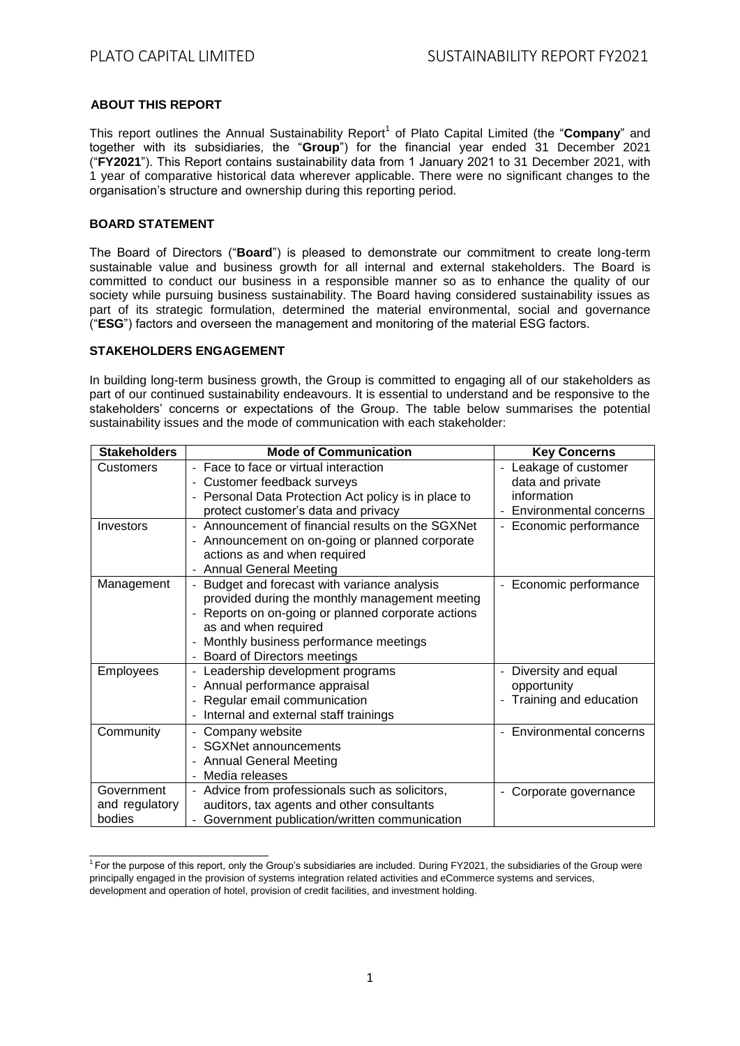# **ABOUT THIS REPORT**

This report outlines the Annual Sustainability Report<sup>1</sup> of Plato Capital Limited (the "**Company**" and together with its subsidiaries, the "**Group**") for the financial year ended 31 December 2021 ("**FY2021**"). This Report contains sustainability data from 1 January 2021 to 31 December 2021, with 1 year of comparative historical data wherever applicable. There were no significant changes to the organisation's structure and ownership during this reporting period.

# **BOARD STATEMENT**

The Board of Directors ("**Board**") is pleased to demonstrate our commitment to create long-term sustainable value and business growth for all internal and external stakeholders. The Board is committed to conduct our business in a responsible manner so as to enhance the quality of our society while pursuing business sustainability. The Board having considered sustainability issues as part of its strategic formulation, determined the material environmental, social and governance ("**ESG**") factors and overseen the management and monitoring of the material ESG factors.

## **STAKEHOLDERS ENGAGEMENT**

In building long-term business growth, the Group is committed to engaging all of our stakeholders as part of our continued sustainability endeavours. It is essential to understand and be responsive to the stakeholders' concerns or expectations of the Group. The table below summarises the potential sustainability issues and the mode of communication with each stakeholder:

| <b>Stakeholders</b> | <b>Mode of Communication</b>                         | <b>Key Concerns</b>                             |
|---------------------|------------------------------------------------------|-------------------------------------------------|
| Customers           | - Face to face or virtual interaction                | Leakage of customer<br>$\overline{a}$           |
|                     | - Customer feedback surveys                          | data and private                                |
|                     | - Personal Data Protection Act policy is in place to | information                                     |
|                     | protect customer's data and privacy                  | <b>Environmental concerns</b>                   |
| Investors           | - Announcement of financial results on the SGXNet    | - Economic performance                          |
|                     | Announcement on on-going or planned corporate        |                                                 |
|                     | actions as and when required                         |                                                 |
|                     | <b>Annual General Meeting</b>                        |                                                 |
| Management          | Budget and forecast with variance analysis           | - Economic performance                          |
|                     | provided during the monthly management meeting       |                                                 |
|                     | Reports on on-going or planned corporate actions     |                                                 |
|                     | as and when required                                 |                                                 |
|                     | Monthly business performance meetings                |                                                 |
|                     | Board of Directors meetings                          |                                                 |
| <b>Employees</b>    | Leadership development programs                      | Diversity and equal<br>$\overline{a}$           |
|                     | Annual performance appraisal                         | opportunity                                     |
|                     | Regular email communication                          | Training and education                          |
|                     | Internal and external staff trainings                |                                                 |
| Community           | Company website                                      | <b>Environmental concerns</b><br>$\blacksquare$ |
|                     | <b>SGXNet announcements</b>                          |                                                 |
|                     | - Annual General Meeting                             |                                                 |
|                     | Media releases                                       |                                                 |
| Government          | - Advice from professionals such as solicitors,      | Corporate governance                            |
| and regulatory      | auditors, tax agents and other consultants           |                                                 |
| bodies              | Government publication/written communication         |                                                 |

 $1$  For the purpose of this report, only the Group's subsidiaries are included. During FY2021, the subsidiaries of the Group were principally engaged in the provision of systems integration related activities and eCommerce systems and services, development and operation of hotel, provision of credit facilities, and investment holding.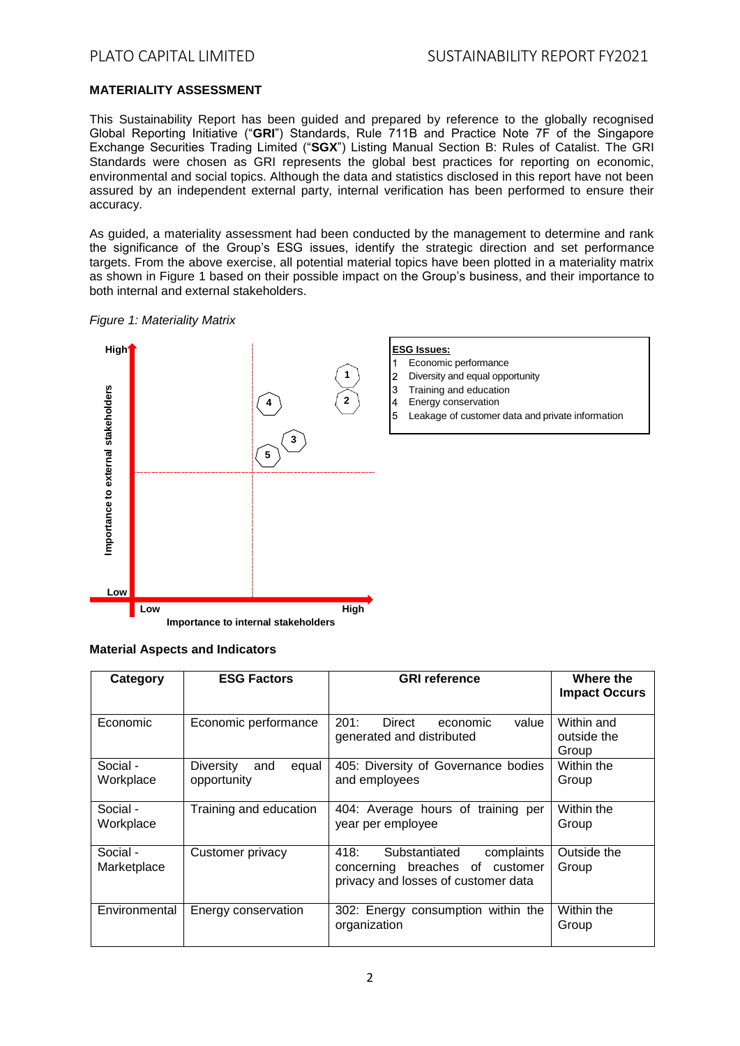# **MATERIALITY ASSESSMENT**

This Sustainability Report has been guided and prepared by reference to the globally recognised Global Reporting Initiative ("**GRI**") Standards, Rule 711B and Practice Note 7F of the Singapore Exchange Securities Trading Limited ("**SGX**") Listing Manual Section B: Rules of Catalist. The GRI Standards were chosen as GRI represents the global best practices for reporting on economic, environmental and social topics. Although the data and statistics disclosed in this report have not been assured by an independent external party, internal verification has been performed to ensure their accuracy.

As guided, a materiality assessment had been conducted by the management to determine and rank the significance of the Group's ESG issues, identify the strategic direction and set performance targets. From the above exercise, all potential material topics have been plotted in a materiality matrix as shown in Figure 1 based on their possible impact on the Group's business, and their importance to both internal and external stakeholders.





**Importance to internal stakeholders**

| Category                | <b>ESG Factors</b>                              | <b>GRI reference</b>                                                                                          | Where the<br><b>Impact Occurs</b>  |
|-------------------------|-------------------------------------------------|---------------------------------------------------------------------------------------------------------------|------------------------------------|
| Economic                | Economic performance                            | 201:<br>Direct<br>value<br>economic<br>generated and distributed                                              | Within and<br>outside the<br>Group |
| Social -<br>Workplace   | <b>Diversity</b><br>equal<br>and<br>opportunity | 405: Diversity of Governance bodies<br>and employees                                                          | Within the<br>Group                |
| Social -<br>Workplace   | Training and education                          | 404: Average hours of training per<br>year per employee                                                       | Within the<br>Group                |
| Social -<br>Marketplace | Customer privacy                                | 418:<br>Substantiated<br>complaints<br>concerning breaches of customer<br>privacy and losses of customer data | Outside the<br>Group               |
| Environmental           | Energy conservation                             | 302: Energy consumption within the<br>organization                                                            | Within the<br>Group                |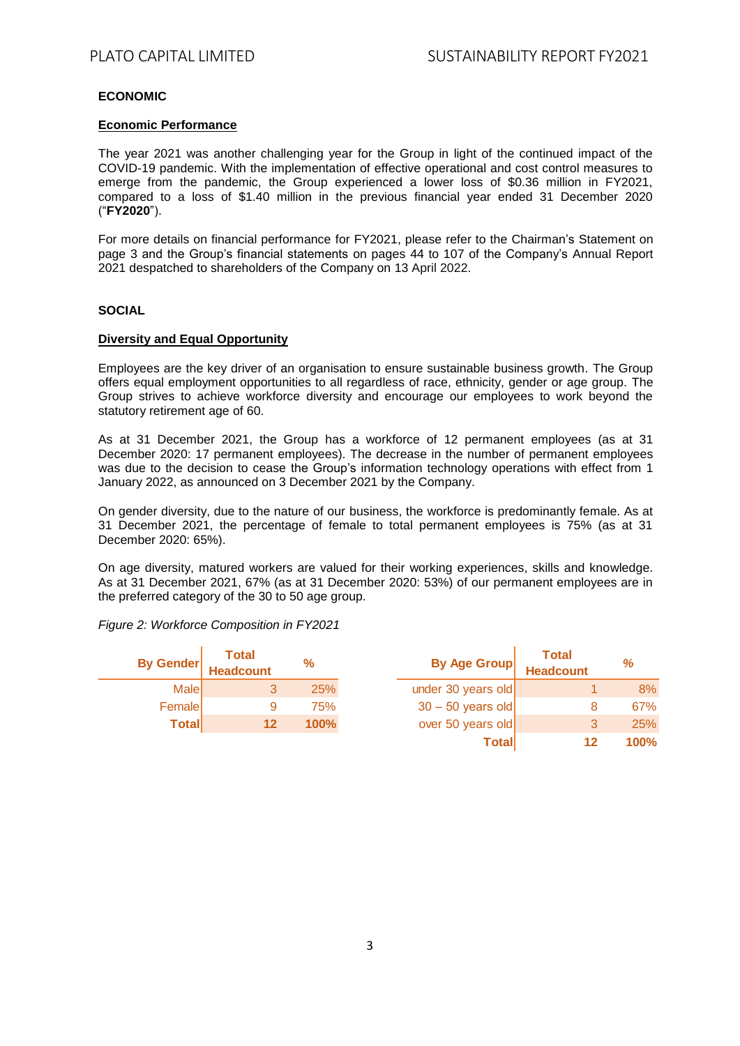# **ECONOMIC**

### **Economic Performance**

The year 2021 was another challenging year for the Group in light of the continued impact of the COVID-19 pandemic. With the implementation of effective operational and cost control measures to emerge from the pandemic, the Group experienced a lower loss of \$0.36 million in FY2021, compared to a loss of \$1.40 million in the previous financial year ended 31 December 2020 ("**FY2020**").

For more details on financial performance for FY2021, please refer to the Chairman's Statement on page 3 and the Group's financial statements on pages 44 to 107 of the Company's Annual Report 2021 despatched to shareholders of the Company on 13 April 2022.

#### **SOCIAL**

#### **Diversity and Equal Opportunity**

Employees are the key driver of an organisation to ensure sustainable business growth. The Group offers equal employment opportunities to all regardless of race, ethnicity, gender or age group. The Group strives to achieve workforce diversity and encourage our employees to work beyond the statutory retirement age of 60.

As at 31 December 2021, the Group has a workforce of 12 permanent employees (as at 31 December 2020: 17 permanent employees). The decrease in the number of permanent employees was due to the decision to cease the Group's information technology operations with effect from 1 January 2022, as announced on 3 December 2021 by the Company.

On gender diversity, due to the nature of our business, the workforce is predominantly female. As at 31 December 2021, the percentage of female to total permanent employees is 75% (as at 31 December 2020: 65%).

On age diversity, matured workers are valued for their working experiences, skills and knowledge. As at 31 December 2021, 67% (as at 31 December 2020: 53%) of our permanent employees are in the preferred category of the 30 to 50 age group.

*Figure 2: Workforce Composition in FY2021* 

| <b>By Gender</b> | <b>Total</b><br><b>Headcount</b> | %    | <b>By Age Group</b> | <b>Total</b><br><b>Headcount</b> | %    |
|------------------|----------------------------------|------|---------------------|----------------------------------|------|
| Malel            |                                  | 25%  | under 30 years old  |                                  | 8%   |
| Female           |                                  | 75%  | $30 - 50$ years old |                                  | 67%  |
| <b>Total</b>     | 12                               | 100% | over 50 years old   |                                  | 25%  |
|                  |                                  |      | <b>Total</b>        | 12                               | 100% |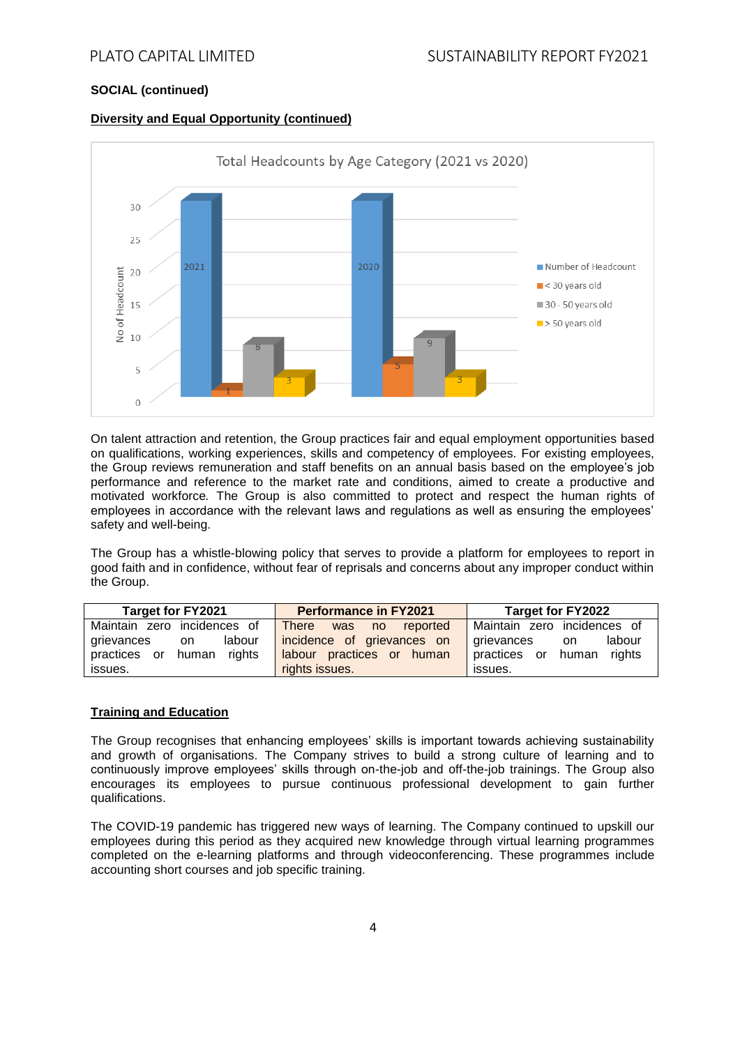# **SOCIAL (continued)**

#### **Diversity and Equal Opportunity (continued)**



On talent attraction and retention, the Group practices fair and equal employment opportunities based on qualifications, working experiences, skills and competency of employees. For existing employees, the Group reviews remuneration and staff benefits on an annual basis based on the employee's job performance and reference to the market rate and conditions, aimed to create a productive and motivated workforce*.* The Group is also committed to protect and respect the human rights of employees in accordance with the relevant laws and regulations as well as ensuring the employees' safety and well-being.

The Group has a whistle-blowing policy that serves to provide a platform for employees to report in good faith and in confidence, without fear of reprisals and concerns about any improper conduct within the Group.

| <b>Target for FY2021</b>        | <b>Performance in FY2021</b>       | Target for FY2022               |  |
|---------------------------------|------------------------------------|---------------------------------|--|
| Maintain zero incidences of     | <b>There</b><br>reported<br>was no | Maintain zero incidences of     |  |
| labour<br>grievances<br>on.     | incidence of grievances on         | labour<br>grievances<br>on.     |  |
| human<br>rights<br>practices or | labour practices or human          | human<br>rights<br>practices or |  |
| issues.                         | rights issues.                     | issues.                         |  |

### **Training and Education**

The Group recognises that enhancing employees' skills is important towards achieving sustainability and growth of organisations. The Company strives to build a strong culture of learning and to continuously improve employees' skills through on-the-job and off-the-job trainings. The Group also encourages its employees to pursue continuous professional development to gain further qualifications.

The COVID-19 pandemic has triggered new ways of learning. The Company continued to upskill our employees during this period as they acquired new knowledge through virtual learning programmes completed on the e-learning platforms and through videoconferencing. These programmes include accounting short courses and job specific training.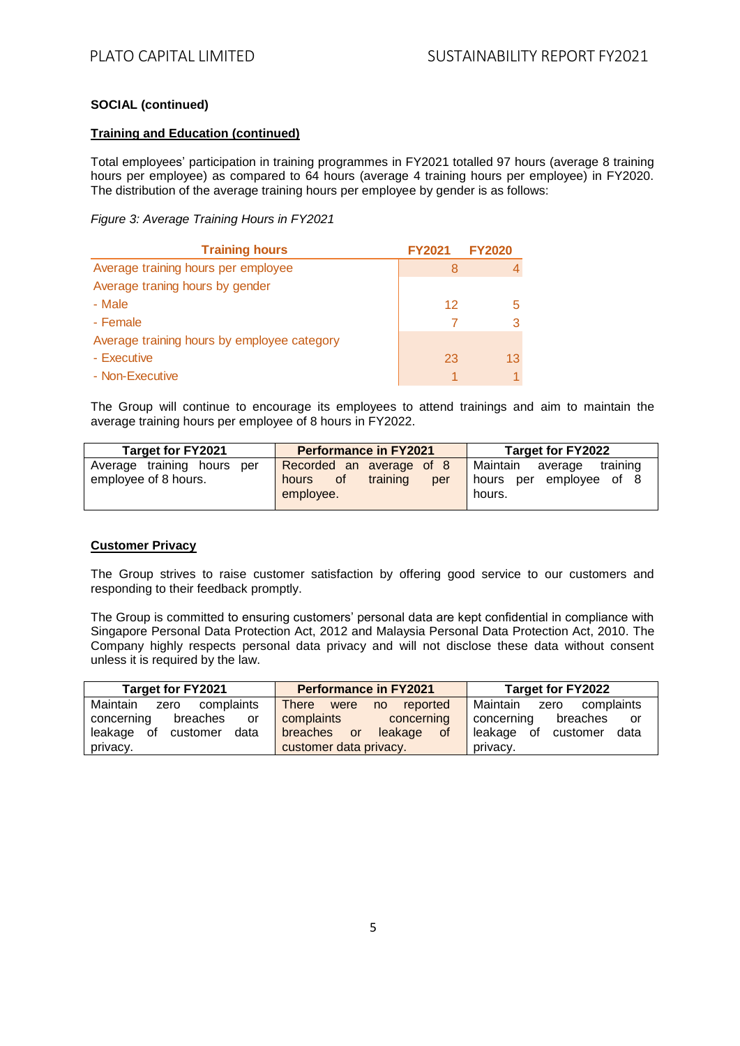# **SOCIAL (continued)**

## **Training and Education (continued)**

Total employees' participation in training programmes in FY2021 totalled 97 hours (average 8 training hours per employee) as compared to 64 hours (average 4 training hours per employee) in FY2020. The distribution of the average training hours per employee by gender is as follows:

### *Figure 3: Average Training Hours in FY2021*

| <b>Training hours</b>                       | <b>FY2021</b> | <b>FY2020</b> |
|---------------------------------------------|---------------|---------------|
| Average training hours per employee         | 8             |               |
| Average traning hours by gender             |               |               |
| - Male                                      | 12            |               |
| - Female                                    |               |               |
| Average training hours by employee category |               |               |
| - Executive                                 | 23            | 13            |
| - Non-Executive                             |               |               |

The Group will continue to encourage its employees to attend trainings and aim to maintain the average training hours per employee of 8 hours in FY2022.

| <b>Target for FY2021</b>                              | <b>Performance in FY2021</b>                                                   | <b>Target for FY2022</b>                                                |  |
|-------------------------------------------------------|--------------------------------------------------------------------------------|-------------------------------------------------------------------------|--|
| Average training hours<br>per<br>employee of 8 hours. | Recorded an average of 8<br>training<br><b>of</b><br>hours<br>per<br>employee. | training<br>Maintain<br>average<br>per employee of 8<br>hours<br>hours. |  |

### **Customer Privacy**

The Group strives to raise customer satisfaction by offering good service to our customers and responding to their feedback promptly.

The Group is committed to ensuring customers' personal data are kept confidential in compliance with Singapore Personal Data Protection Act, 2012 and Malaysia Personal Data Protection Act, 2010. The Company highly respects personal data privacy and will not disclose these data without consent unless it is required by the law.

| <b>Target for FY2021</b>       | <b>Performance in FY2021</b>           | <b>Target for FY2022</b>          |  |
|--------------------------------|----------------------------------------|-----------------------------------|--|
| Maintain<br>complaints<br>zero | <b>There</b><br>reported<br>were<br>no | Maintain<br>complaints<br>zero    |  |
| concerning<br>breaches<br>or   | complaints<br>concerning               | concerning<br>breaches<br>or      |  |
| data<br>leakage of<br>customer | breaches<br>leakage<br>of<br><b>or</b> | data<br>οf<br>leakage<br>customer |  |
| privacy.                       | customer data privacy.                 | privacy.                          |  |